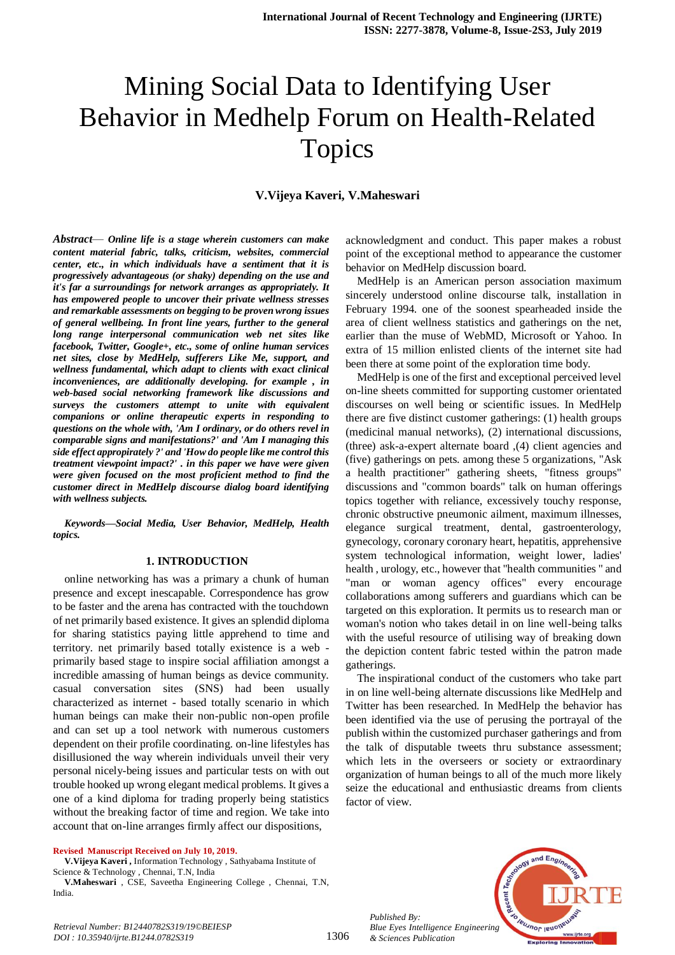# Mining Social Data to Identifying User Behavior in Medhelp Forum on Health-Related Topics

## **V.Vijeya Kaveri, V.Maheswari**

*Abstract*— *Online life is a stage wherein customers can make content material fabric, talks, criticism, websites, commercial center, etc., in which individuals have a sentiment that it is progressively advantageous (or shaky) depending on the use and it's far a surroundings for network arranges as appropriately. It has empowered people to uncover their private wellness stresses and remarkable assessments on begging to be proven wrong issues of general wellbeing. In front line years, further to the general long range interpersonal communication web net sites like facebook, Twitter, Google+, etc., some of online human services net sites, close by MedHelp, sufferers Like Me, support, and wellness fundamental, which adapt to clients with exact clinical inconveniences, are additionally developing. for example , in web-based social networking framework like discussions and surveys the customers attempt to unite with equivalent companions or online therapeutic experts in responding to questions on the whole with, 'Am I ordinary, or do others revel in comparable signs and manifestations?' and 'Am I managing this side effect appropirately ?' and 'How do people like me control this treatment viewpoint impact?' . in this paper we have were given were given focused on the most proficient method to find the customer direct in MedHelp discourse dialog board identifying with wellness subjects.*

*Keywords—Social Media, User Behavior, MedHelp, Health topics.*

#### **1. INTRODUCTION**

online networking has was a primary a chunk of human presence and except inescapable. Correspondence has grow to be faster and the arena has contracted with the touchdown of net primarily based existence. It gives an splendid diploma for sharing statistics paying little apprehend to time and territory. net primarily based totally existence is a web primarily based stage to inspire social affiliation amongst a incredible amassing of human beings as device community. casual conversation sites (SNS) had been usually characterized as internet - based totally scenario in which human beings can make their non-public non-open profile and can set up a tool network with numerous customers dependent on their profile coordinating. on-line lifestyles has disillusioned the way wherein individuals unveil their very personal nicely-being issues and particular tests on with out trouble hooked up wrong elegant medical problems. It gives a one of a kind diploma for trading properly being statistics without the breaking factor of time and region. We take into account that on-line arranges firmly affect our dispositions,

**Revised Manuscript Received on July 10, 2019.**

**V.Vijeya Kaveri ,** Information Technology , Sathyabama Institute of Science & Technology , Chennai, T.N, India

**V.Maheswari** , CSE, Saveetha Engineering College , Chennai, T.N, India.

acknowledgment and conduct. This paper makes a robust point of the exceptional method to appearance the customer behavior on MedHelp discussion board.

MedHelp is an American person association maximum sincerely understood online discourse talk, installation in February 1994. one of the soonest spearheaded inside the area of client wellness statistics and gatherings on the net, earlier than the muse of WebMD, Microsoft or Yahoo. In extra of 15 million enlisted clients of the internet site had been there at some point of the exploration time body.

MedHelp is one of the first and exceptional perceived level on-line sheets committed for supporting customer orientated discourses on well being or scientific issues. In MedHelp there are five distinct customer gatherings: (1) health groups (medicinal manual networks), (2) international discussions, (three) ask-a-expert alternate board ,(4) client agencies and (five) gatherings on pets. among these 5 organizations, "Ask a health practitioner" gathering sheets, "fitness groups" discussions and "common boards" talk on human offerings topics together with reliance, excessively touchy response, chronic obstructive pneumonic ailment, maximum illnesses, elegance surgical treatment, dental, gastroenterology, gynecology, coronary coronary heart, hepatitis, apprehensive system technological information, weight lower, ladies' health , urology, etc., however that "health communities " and "man or woman agency offices" every encourage collaborations among sufferers and guardians which can be targeted on this exploration. It permits us to research man or woman's notion who takes detail in on line well-being talks with the useful resource of utilising way of breaking down the depiction content fabric tested within the patron made gatherings.

The inspirational conduct of the customers who take part in on line well-being alternate discussions like MedHelp and Twitter has been researched. In MedHelp the behavior has been identified via the use of perusing the portrayal of the publish within the customized purchaser gatherings and from the talk of disputable tweets thru substance assessment; which lets in the overseers or society or extraordinary organization of human beings to all of the much more likely seize the educational and enthusiastic dreams from clients factor of view.

*Published By: Blue Eyes Intelligence Engineering & Sciences Publication* 



*Retrieval Number: B12440782S319/19©BEIESP DOI : 10.35940/ijrte.B1244.0782S319*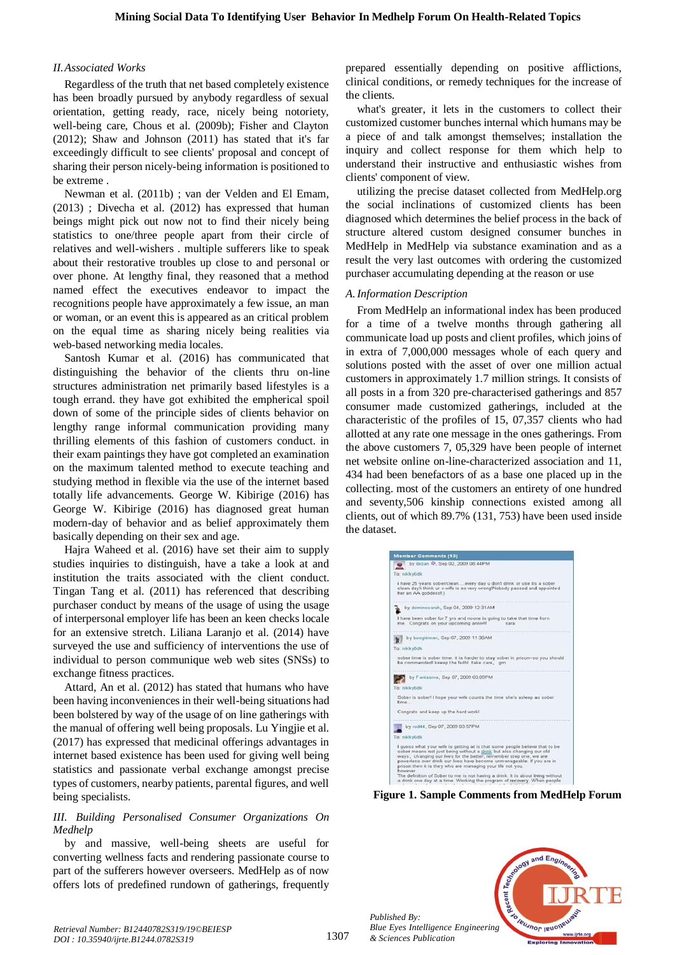#### *II.Associated Works*

Regardless of the truth that net based completely existence has been broadly pursued by anybody regardless of sexual orientation, getting ready, race, nicely being notoriety, well-being care, Chous et al. (2009b); Fisher and Clayton (2012); Shaw and Johnson (2011) has stated that it's far exceedingly difficult to see clients' proposal and concept of sharing their person nicely-being information is positioned to be extreme .

Newman et al. (2011b) ; van der Velden and El Emam, (2013) ; Divecha et al. (2012) has expressed that human beings might pick out now not to find their nicely being statistics to one/three people apart from their circle of relatives and well-wishers . multiple sufferers like to speak about their restorative troubles up close to and personal or over phone. At lengthy final, they reasoned that a method named effect the executives endeavor to impact the recognitions people have approximately a few issue, an man or woman, or an event this is appeared as an critical problem on the equal time as sharing nicely being realities via web-based networking media locales.

Santosh Kumar et al. (2016) has communicated that distinguishing the behavior of the clients thru on-line structures administration net primarily based lifestyles is a tough errand. they have got exhibited the empherical spoil down of some of the principle sides of clients behavior on lengthy range informal communication providing many thrilling elements of this fashion of customers conduct. in their exam paintings they have got completed an examination on the maximum talented method to execute teaching and studying method in flexible via the use of the internet based totally life advancements. George W. Kibirige (2016) has George W. Kibirige (2016) has diagnosed great human modern-day of behavior and as belief approximately them basically depending on their sex and age.

Hajra Waheed et al. (2016) have set their aim to supply studies inquiries to distinguish, have a take a look at and institution the traits associated with the client conduct. Tingan Tang et al. (2011) has referenced that describing purchaser conduct by means of the usage of using the usage of interpersonal employer life has been an keen checks locale for an extensive stretch. Liliana Laranjo et al. (2014) have surveyed the use and sufficiency of interventions the use of individual to person communique web web sites (SNSs) to exchange fitness practices.

Attard, An et al. (2012) has stated that humans who have been having inconveniences in their well-being situations had been bolstered by way of the usage of on line gatherings with the manual of offering well being proposals. Lu Yingjie et al. (2017) has expressed that medicinal offerings advantages in internet based existence has been used for giving well being statistics and passionate verbal exchange amongst precise types of customers, nearby patients, parental figures, and well being specialists.

## *III. Building Personalised Consumer Organizations On Medhelp*

by and massive, well-being sheets are useful for converting wellness facts and rendering passionate course to part of the sufferers however overseers. MedHelp as of now offers lots of predefined rundown of gatherings, frequently prepared essentially depending on positive afflictions, clinical conditions, or remedy techniques for the increase of the clients.

what's greater, it lets in the customers to collect their customized customer bunches internal which humans may be a piece of and talk amongst themselves; installation the inquiry and collect response for them which help to understand their instructive and enthusiastic wishes from clients' component of view.

utilizing the precise dataset collected from MedHelp.org the social inclinations of customized clients has been diagnosed which determines the belief process in the back of structure altered custom designed consumer bunches in MedHelp in MedHelp via substance examination and as a result the very last outcomes with ordering the customized purchaser accumulating depending at the reason or use

## *A.Information Description*

From MedHelp an informational index has been produced for a time of a twelve months through gathering all communicate load up posts and client profiles, which joins of in extra of 7,000,000 messages whole of each query and solutions posted with the asset of over one million actual customers in approximately 1.7 million strings. It consists of all posts in a from 320 pre-characterised gatherings and 857 consumer made customized gatherings, included at the characteristic of the profiles of 15, 07,357 clients who had allotted at any rate one message in the ones gatherings. From the above customers 7, 05,329 have been people of internet net website online on-line-characterized association and 11, 434 had been benefactors of as a base one placed up in the collecting. most of the customers an entirety of one hundred and seventy,506 kinship connections existed among all clients, out of which 89.7% (131, 753) have been used inside the dataset.



**Figure 1. Sample Comments from MedHelp Forum**



*Published By:*

*& Sciences Publication*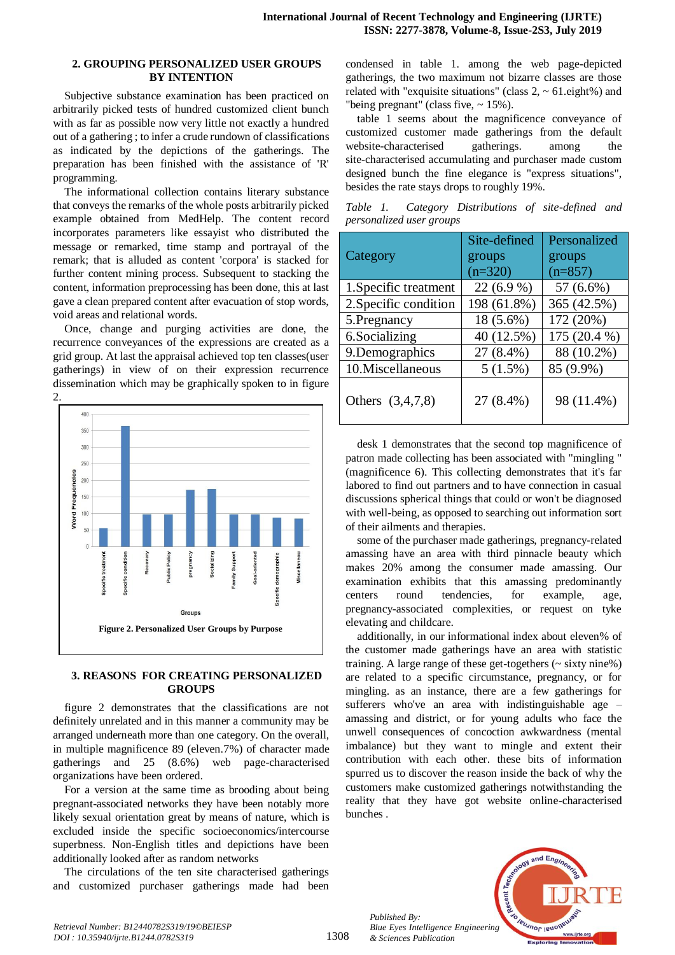#### **2. GROUPING PERSONALIZED USER GROUPS BY INTENTION**

Subjective substance examination has been practiced on arbitrarily picked tests of hundred customized client bunch with as far as possible now very little not exactly a hundred out of a gathering ; to infer a crude rundown of classifications as indicated by the depictions of the gatherings. The preparation has been finished with the assistance of 'R' programming.

The informational collection contains literary substance that conveys the remarks of the whole posts arbitrarily picked example obtained from MedHelp. The content record incorporates parameters like essayist who distributed the message or remarked, time stamp and portrayal of the remark; that is alluded as content 'corpora' is stacked for further content mining process. Subsequent to stacking the content, information preprocessing has been done, this at last gave a clean prepared content after evacuation of stop words, void areas and relational words.

Once, change and purging activities are done, the recurrence conveyances of the expressions are created as a grid group. At last the appraisal achieved top ten classes(user gatherings) in view of on their expression recurrence dissemination which may be graphically spoken to in figure  $\mathcal{L}$ 



## **3. REASONS FOR CREATING PERSONALIZED GROUPS**

figure 2 demonstrates that the classifications are not definitely unrelated and in this manner a community may be arranged underneath more than one category. On the overall, in multiple magnificence 89 (eleven.7%) of character made gatherings and 25 (8.6%) web page-characterised organizations have been ordered.

For a version at the same time as brooding about being pregnant-associated networks they have been notably more likely sexual orientation great by means of nature, which is excluded inside the specific socioeconomics/intercourse superbness. Non-English titles and depictions have been additionally looked after as random networks

The circulations of the ten site characterised gatherings and customized purchaser gatherings made had been condensed in table 1. among the web page-depicted gatherings, the two maximum not bizarre classes are those related with "exquisite situations" (class  $2, \sim 61$ .eight%) and "being pregnant" (class five,  $\sim 15\%$ ).

table 1 seems about the magnificence conveyance of customized customer made gatherings from the default website-characterised gatherings. among the site-characterised accumulating and purchaser made custom designed bunch the fine elegance is "express situations", besides the rate stays drops to roughly 19%.

*Table 1. Category Distributions of site-defined and personalized user groups*

|                       | Site-defined | Personalized |
|-----------------------|--------------|--------------|
| Category              | groups       | groups       |
|                       | $(n=320)$    | $(n=857)$    |
| 1. Specific treatment | $22(6.9\%)$  | 57 (6.6%)    |
| 2. Specific condition | 198 (61.8%)  | 365 (42.5%)  |
| 5. Pregnancy          | 18 (5.6%)    | 172 (20%)    |
| 6.Socializing         | 40 (12.5%)   | 175 (20.4 %) |
| 9. Demographics       | 27 (8.4%)    | 88 (10.2%)   |
| 10. Miscellaneous     | 5(1.5%)      | 85 (9.9%)    |
| Others (3,4,7,8)      | 27 (8.4%)    | 98 (11.4%)   |

desk 1 demonstrates that the second top magnificence of patron made collecting has been associated with "mingling " (magnificence 6). This collecting demonstrates that it's far labored to find out partners and to have connection in casual discussions spherical things that could or won't be diagnosed with well-being, as opposed to searching out information sort of their ailments and therapies.

some of the purchaser made gatherings, pregnancy-related amassing have an area with third pinnacle beauty which makes 20% among the consumer made amassing. Our examination exhibits that this amassing predominantly centers round tendencies, for example, age, pregnancy-associated complexities, or request on tyke elevating and childcare.

additionally, in our informational index about eleven% of the customer made gatherings have an area with statistic training. A large range of these get-togethers (~ sixty nine%) are related to a specific circumstance, pregnancy, or for mingling. as an instance, there are a few gatherings for sufferers who've an area with indistinguishable age – amassing and district, or for young adults who face the unwell consequences of concoction awkwardness (mental imbalance) but they want to mingle and extent their contribution with each other. these bits of information spurred us to discover the reason inside the back of why the customers make customized gatherings notwithstanding the reality that they have got website online-characterised bunches .

*Published By: Blue Eyes Intelligence Engineering & Sciences Publication* 

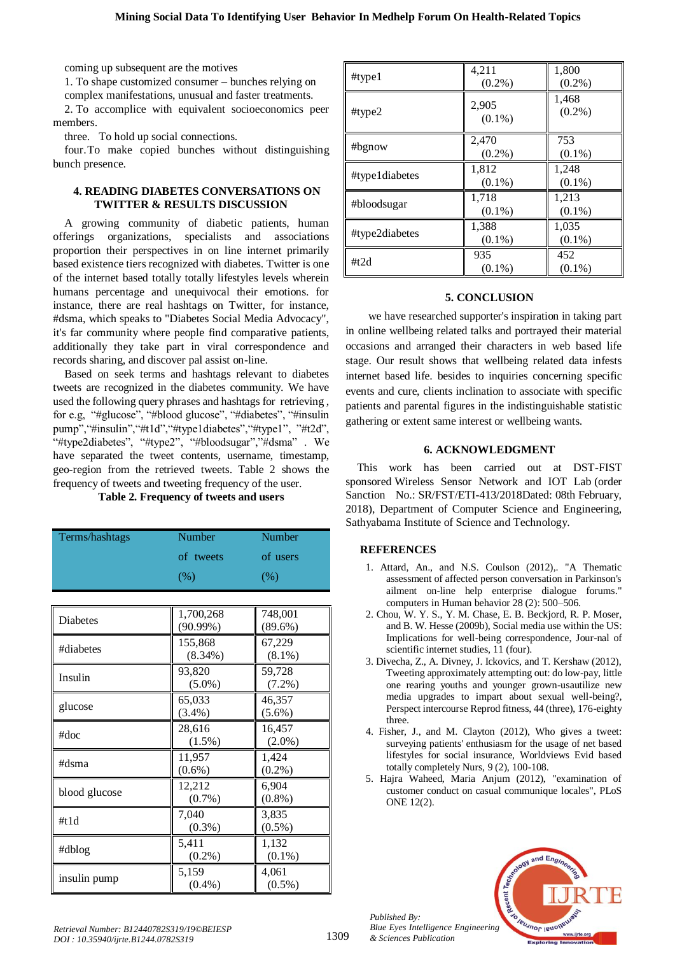coming up subsequent are the motives

1. To shape customized consumer – bunches relying on complex manifestations, unusual and faster treatments.

2. To accomplice with equivalent socioeconomics peer members.

three. To hold up social connections.

four.To make copied bunches without distinguishing bunch presence.

## **4. READING DIABETES CONVERSATIONS ON TWITTER & RESULTS DISCUSSION**

A growing community of diabetic patients, human offerings organizations, specialists and associations proportion their perspectives in on line internet primarily based existence tiers recognized with diabetes. Twitter is one of the internet based totally totally lifestyles levels wherein humans percentage and unequivocal their emotions. for instance, there are real hashtags on Twitter, for instance, #dsma, which speaks to "Diabetes Social Media Advocacy", it's far community where people find comparative patients, additionally they take part in viral correspondence and records sharing, and discover pal assist on-line.

Based on seek terms and hashtags relevant to diabetes tweets are recognized in the diabetes community. We have used the following query phrases and hashtags for retrieving , for e.g, "#glucose", "#blood glucose", "#diabetes", "#insulin pump","#insulin","#t1d","#type1diabetes","#type1", "#t2d", "#type2diabetes", "#type2", "#bloodsugar","#dsma" . We have separated the tweet contents, username, timestamp, geo-region from the retrieved tweets. Table 2 shows the frequency of tweets and tweeting frequency of the user.

## **Table 2. Frequency of tweets and users**

| Terms/hashtags | Number    | Number   |
|----------------|-----------|----------|
|                | of tweets | of users |
|                | (%)       | (% )     |

| Diabetes      | 1,700,268<br>(90.99%) | 748,001<br>(89.6%)  |
|---------------|-----------------------|---------------------|
| #diabetes     | 155,868<br>$(8.34\%)$ | 67,229<br>$(8.1\%)$ |
| Insulin       | 93,820<br>$(5.0\%)$   | 59,728<br>$(7.2\%)$ |
| glucose       | 65,033<br>$(3.4\%)$   | 46,357<br>$(5.6\%)$ |
| #doc          | 28,616<br>$(1.5\%)$   | 16,457<br>$(2.0\%)$ |
| #dsma         | 11,957<br>$(0.6\%)$   | 1,424<br>$(0.2\%)$  |
| blood glucose | 12,212<br>$(0.7\%)$   | 6,904<br>$(0.8\%)$  |
| #t1d          | 7.040<br>$(0.3\%)$    | 3,835<br>$(0.5\%)$  |
| #dblog        | 5,411<br>$(0.2\%)$    | 1,132<br>$(0.1\%)$  |
| insulin pump  | 5,159<br>$(0.4\%)$    | 4,061<br>$(0.5\%)$  |

| #type1         | 4,211<br>$(0.2\%)$ | 1,800<br>$(0.2\%)$ |
|----------------|--------------------|--------------------|
| #type $2$      | 2,905<br>$(0.1\%)$ | 1,468<br>$(0.2\%)$ |
| #bgnow         | 2,470<br>$(0.2\%)$ | 753<br>$(0.1\%)$   |
| #type1diabetes | 1,812<br>$(0.1\%)$ | 1,248<br>$(0.1\%)$ |
| #bloodsugar    | 1,718<br>$(0.1\%)$ | 1,213<br>$(0.1\%)$ |
| #type2diabetes | 1,388<br>$(0.1\%)$ | 1,035<br>$(0.1\%)$ |
| # $t2d$        | 935<br>$(0.1\%)$   | 452<br>$(0.1\%)$   |

## **5. CONCLUSION**

we have researched supporter's inspiration in taking part in online wellbeing related talks and portrayed their material occasions and arranged their characters in web based life stage. Our result shows that wellbeing related data infests internet based life. besides to inquiries concerning specific events and cure, clients inclination to associate with specific patients and parental figures in the indistinguishable statistic gathering or extent same interest or wellbeing wants.

## **6. ACKNOWLEDGMENT**

This work has been carried out at DST-FIST sponsored Wireless Sensor Network and IOT Lab (order Sanction No.: SR/FST/ETI-413/2018Dated: 08th February, 2018), Department of Computer Science and Engineering, Sathyabama Institute of Science and Technology.

## **REFERENCES**

- 1. Attard, An., and N.S. Coulson (2012),. "A Thematic assessment of affected person conversation in Parkinson's ailment on-line help enterprise dialogue forums." computers in Human behavior 28 (2): 500–506.
- 2. Chou, W. Y. S., Y. M. Chase, E. B. Beckjord, R. P. Moser, and B. W. Hesse (2009b), Social media use within the US: Implications for well-being correspondence, Jour-nal of scientific internet studies, 11 (four).
- 3. Divecha, Z., A. Divney, J. Ickovics, and T. Kershaw (2012), Tweeting approximately attempting out: do low-pay, little one rearing youths and younger grown-usautilize new media upgrades to impart about sexual well-being?, Perspect intercourse Reprod fitness, 44 (three), 176-eighty three.
- 4. Fisher, J., and M. Clayton (2012), Who gives a tweet: surveying patients' enthusiasm for the usage of net based lifestyles for social insurance, Worldviews Evid based totally completely Nurs, 9 (2), 100-108.
- 5. Hajra Waheed, Maria Anjum (2012), "examination of customer conduct on casual communique locales", PLoS ONE 12(2).



*Published By:*

*& Sciences Publication*